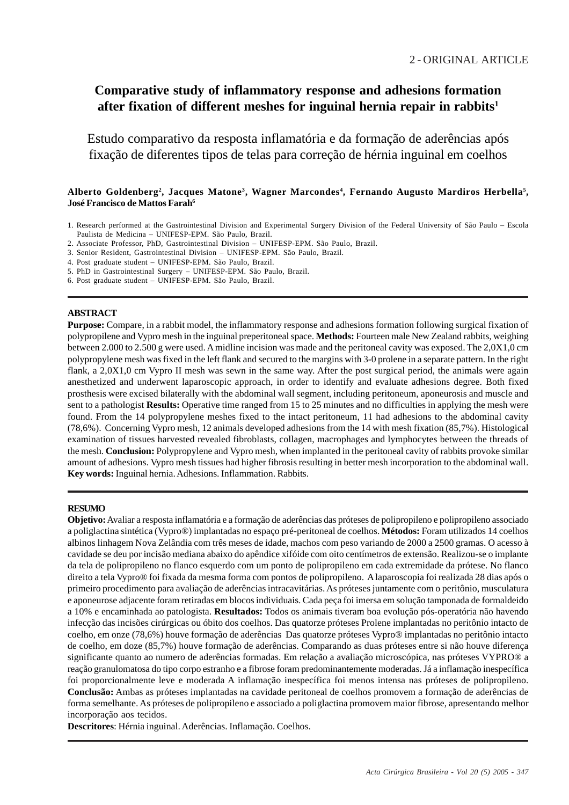# **Comparative study of inflammatory response and adhesions formation after fixation of different meshes for inguinal hernia repair in rabbits1**

Estudo comparativo da resposta inflamatória e da formação de aderências após fixação de diferentes tipos de telas para correção de hérnia inguinal em coelhos

# Alberto Goldenberg<sup>2</sup>, Jacques Matone<sup>3</sup>, Wagner Marcondes<sup>4</sup>, Fernando Augusto Mardiros Herbella<sup>5</sup>, **José Francisco de Mattos Farah6**

- 1. Research performed at the Gastrointestinal Division and Experimental Surgery Division of the Federal University of São Paulo Escola Paulista de Medicina – UNIFESP-EPM. São Paulo, Brazil.
- 2. Associate Professor, PhD, Gastrointestinal Division UNIFESP-EPM. São Paulo, Brazil.
- 3. Senior Resident, Gastrointestinal Division UNIFESP-EPM. São Paulo, Brazil.
- 4. Post graduate student UNIFESP-EPM. São Paulo, Brazil.
- 5. PhD in Gastrointestinal Surgery UNIFESP-EPM. São Paulo, Brazil.
- 6. Post graduate student UNIFESP-EPM. São Paulo, Brazil.

# **ABSTRACT**

**Purpose:** Compare, in a rabbit model, the inflammatory response and adhesions formation following surgical fixation of polypropilene and Vypro mesh in the inguinal preperitoneal space. **Methods:** Fourteen male New Zealand rabbits, weighing between 2.000 to 2.500 g were used. A midline incision was made and the peritoneal cavity was exposed. The 2,0X1,0 cm polypropylene mesh was fixed in the left flank and secured to the margins with 3-0 prolene in a separate pattern. In the right flank, a 2,0X1,0 cm Vypro II mesh was sewn in the same way. After the post surgical period, the animals were again anesthetized and underwent laparoscopic approach, in order to identify and evaluate adhesions degree. Both fixed prosthesis were excised bilaterally with the abdominal wall segment, including peritoneum, aponeurosis and muscle and sent to a pathologist **Results:** Operative time ranged from 15 to 25 minutes and no difficulties in applying the mesh were found. From the 14 polypropylene meshes fixed to the intact peritoneum, 11 had adhesions to the abdominal cavity (78,6%). Concerning Vypro mesh, 12 animals developed adhesions from the 14 with mesh fixation (85,7%). Histological examination of tissues harvested revealed fibroblasts, collagen, macrophages and lymphocytes between the threads of the mesh. **Conclusion:** Polypropylene and Vypro mesh, when implanted in the peritoneal cavity of rabbits provoke similar amount of adhesions. Vypro mesh tissues had higher fibrosis resulting in better mesh incorporation to the abdominal wall. **Key words:** Inguinal hernia. Adhesions. Inflammation. Rabbits.

# **RESUMO**

**Objetivo:** Avaliar a resposta inflamatória e a formação de aderências das próteses de polipropileno e polipropileno associado a poliglactina sintética (Vypro®) implantadas no espaço pré-peritoneal de coelhos. **Métodos:** Foram utilizados 14 coelhos albinos linhagem Nova Zelândia com três meses de idade, machos com peso variando de 2000 a 2500 gramas. O acesso à cavidade se deu por incisão mediana abaixo do apêndice xifóide com oito centímetros de extensão. Realizou-se o implante da tela de polipropileno no flanco esquerdo com um ponto de polipropileno em cada extremidade da prótese. No flanco direito a tela Vypro® foi fixada da mesma forma com pontos de polipropileno. A laparoscopia foi realizada 28 dias após o primeiro procedimento para avaliação de aderências intracavitárias. As próteses juntamente com o peritônio, musculatura e aponeurose adjacente foram retiradas em blocos individuais. Cada peça foi imersa em solução tamponada de formaldeido a 10% e encaminhada ao patologista. **Resultados:** Todos os animais tiveram boa evolução pós-operatória não havendo infecção das incisões cirúrgicas ou óbito dos coelhos. Das quatorze próteses Prolene implantadas no peritônio intacto de coelho, em onze (78,6%) houve formação de aderências Das quatorze próteses Vypro® implantadas no peritônio intacto de coelho, em doze (85,7%) houve formação de aderências. Comparando as duas próteses entre si não houve diferença significante quanto ao numero de aderências formadas. Em relação a avaliação microscópica, nas próteses VYPRO® a reação granulomatosa do tipo corpo estranho e a fibrose foram predominantemente moderadas. Já a inflamação inespecífica foi proporcionalmente leve e moderada A inflamação inespecífica foi menos intensa nas próteses de polipropileno. **Conclusão:** Ambas as próteses implantadas na cavidade peritoneal de coelhos promovem a formação de aderências de forma semelhante. As próteses de polipropileno e associado a poliglactina promovem maior fibrose, apresentando melhor incorporação aos tecidos.

**Descritores**: Hérnia inguinal. Aderências. Inflamação. Coelhos.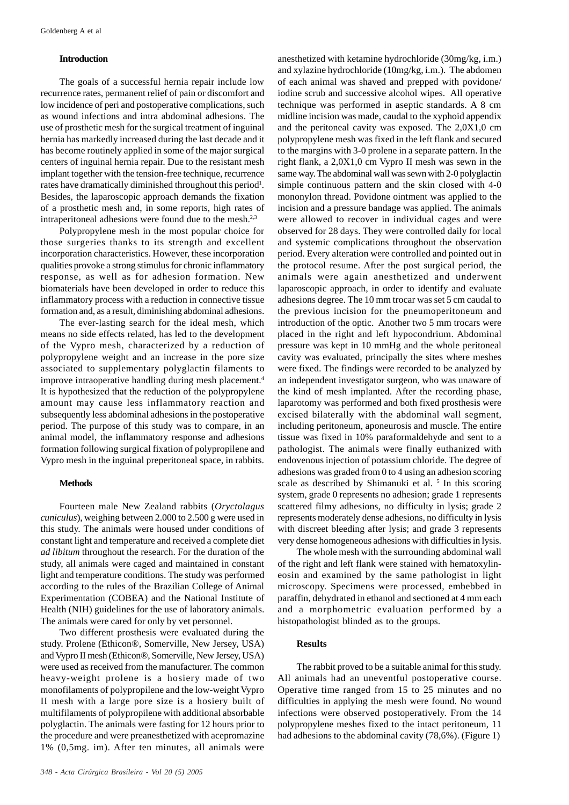# **Introduction**

The goals of a successful hernia repair include low recurrence rates, permanent relief of pain or discomfort and low incidence of peri and postoperative complications, such as wound infections and intra abdominal adhesions. The use of prosthetic mesh for the surgical treatment of inguinal hernia has markedly increased during the last decade and it has become routinely applied in some of the major surgical centers of inguinal hernia repair. Due to the resistant mesh implant together with the tension-free technique, recurrence rates have dramatically diminished throughout this period<sup>1</sup>. Besides, the laparoscopic approach demands the fixation of a prosthetic mesh and, in some reports, high rates of intraperitoneal adhesions were found due to the mesh.<sup>2,3</sup>

Polypropylene mesh in the most popular choice for those surgeries thanks to its strength and excellent incorporation characteristics. However, these incorporation qualities provoke a strong stimulus for chronic inflammatory response, as well as for adhesion formation. New biomaterials have been developed in order to reduce this inflammatory process with a reduction in connective tissue formation and, as a result, diminishing abdominal adhesions.

The ever-lasting search for the ideal mesh, which means no side effects related, has led to the development of the Vypro mesh, characterized by a reduction of polypropylene weight and an increase in the pore size associated to supplementary polyglactin filaments to improve intraoperative handling during mesh placement.<sup>4</sup> It is hypothesized that the reduction of the polypropylene amount may cause less inflammatory reaction and subsequently less abdominal adhesions in the postoperative period. The purpose of this study was to compare, in an animal model, the inflammatory response and adhesions formation following surgical fixation of polypropilene and Vypro mesh in the inguinal preperitoneal space, in rabbits.

#### **Methods**

Fourteen male New Zealand rabbits (*Oryctolagus cuniculus*), weighing between 2.000 to 2.500 g were used in this study. The animals were housed under conditions of constant light and temperature and received a complete diet *ad libitum* throughout the research. For the duration of the study, all animals were caged and maintained in constant light and temperature conditions. The study was performed according to the rules of the Brazilian College of Animal Experimentation (COBEA) and the National Institute of Health (NIH) guidelines for the use of laboratory animals. The animals were cared for only by vet personnel.

Two different prosthesis were evaluated during the study. Prolene (Ethicon®, Somerville, New Jersey, USA) and Vypro II mesh (Ethicon®, Somerville, New Jersey, USA) were used as received from the manufacturer. The common heavy-weight prolene is a hosiery made of two monofilaments of polypropilene and the low-weight Vypro II mesh with a large pore size is a hosiery built of multifilaments of polypropilene with additional absorbable polyglactin. The animals were fasting for 12 hours prior to the procedure and were preanesthetized with acepromazine 1% (0,5mg. im). After ten minutes, all animals were

iodine scrub and successive alcohol wipes. All operative technique was performed in aseptic standards. A 8 cm midline incision was made, caudal to the xyphoid appendix and the peritoneal cavity was exposed. The  $2,0X1,0$  cm polypropylene mesh was fixed in the left flank and secured to the margins with 3-0 prolene in a separate pattern. In the right flank, a 2,0X1,0 cm Vypro II mesh was sewn in the same way. The abdominal wall was sewn with 2-0 polyglactin simple continuous pattern and the skin closed with 4-0 mononylon thread. Povidone ointment was applied to the incision and a pressure bandage was applied. The animals were allowed to recover in individual cages and were observed for 28 days. They were controlled daily for local and systemic complications throughout the observation period. Every alteration were controlled and pointed out in the protocol resume. After the post surgical period, the animals were again anesthetized and underwent laparoscopic approach, in order to identify and evaluate adhesions degree. The 10 mm trocar was set 5 cm caudal to the previous incision for the pneumoperitoneum and introduction of the optic. Another two 5 mm trocars were placed in the right and left hypocondrium. Abdominal pressure was kept in 10 mmHg and the whole peritoneal cavity was evaluated, principally the sites where meshes were fixed. The findings were recorded to be analyzed by an independent investigator surgeon, who was unaware of the kind of mesh implanted. After the recording phase, laparotomy was performed and both fixed prosthesis were excised bilaterally with the abdominal wall segment, including peritoneum, aponeurosis and muscle. The entire tissue was fixed in 10% paraformaldehyde and sent to a pathologist. The animals were finally euthanized with endovenous injection of potassium chloride. The degree of adhesions was graded from 0 to 4 using an adhesion scoring scale as described by Shimanuki et al.<sup>5</sup> In this scoring system, grade 0 represents no adhesion; grade 1 represents scattered filmy adhesions, no difficulty in lysis; grade 2 represents moderately dense adhesions, no difficulty in lysis with discreet bleeding after lysis; and grade 3 represents very dense homogeneous adhesions with difficulties in lysis.

anesthetized with ketamine hydrochloride (30mg/kg, i.m.) and xylazine hydrochloride (10mg/kg, i.m.). The abdomen of each animal was shaved and prepped with povidone/

The whole mesh with the surrounding abdominal wall of the right and left flank were stained with hematoxylineosin and examined by the same pathologist in light microscopy. Specimens were processed, embebbed in paraffin, dehydrated in ethanol and sectioned at 4 mm each and a morphometric evaluation performed by a histopathologist blinded as to the groups.

# **Results**

The rabbit proved to be a suitable animal for this study. All animals had an uneventful postoperative course. Operative time ranged from 15 to 25 minutes and no difficulties in applying the mesh were found. No wound infections were observed postoperatively. From the 14 polypropylene meshes fixed to the intact peritoneum, 11 had adhesions to the abdominal cavity (78,6%). (Figure 1)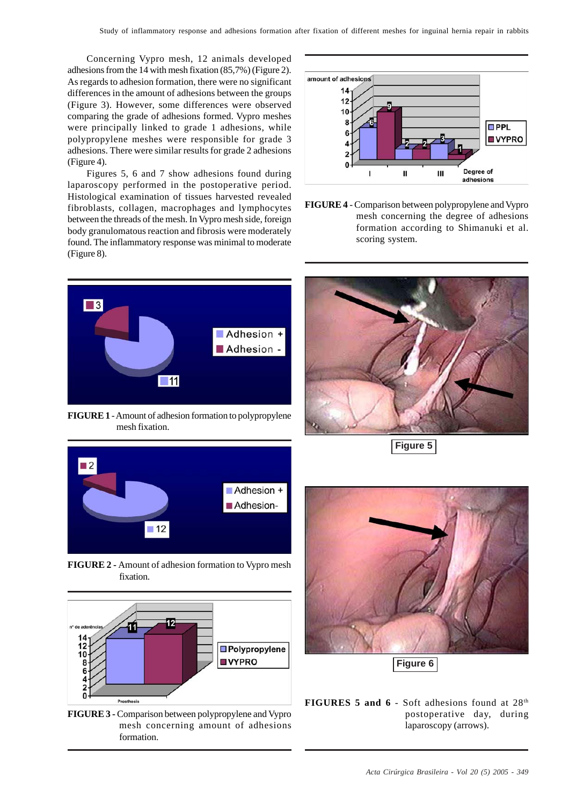Concerning Vypro mesh, 12 animals developed adhesions from the 14 with mesh fixation (85,7%) (Figure 2). As regards to adhesion formation, there were no significant differences in the amount of adhesions between the groups (Figure 3). However, some differences were observed comparing the grade of adhesions formed. Vypro meshes were principally linked to grade 1 adhesions, while polypropylene meshes were responsible for grade 3 adhesions. There were similar results for grade 2 adhesions (Figure 4).

Figures 5, 6 and 7 show adhesions found during laparoscopy performed in the postoperative period. Histological examination of tissues harvested revealed fibroblasts, collagen, macrophages and lymphocytes between the threads of the mesh. In Vypro mesh side, foreign body granulomatous reaction and fibrosis were moderately found. The inflammatory response was minimal to moderate (Figure 8).



**FIGURE 4** - Comparison between polypropylene and Vypro mesh concerning the degree of adhesions formation according to Shimanuki et al. scoring system.



**FIGURE 1** - Amount of adhesion formation to polypropylene mesh fixation.



**Figure 5**



**FIGURE 2 -** Amount of adhesion formation to Vypro mesh fixation.



**FIGURE 3 -** Comparison between polypropylene and Vypro mesh concerning amount of adhesions formation.



**Figure 6**

**FIGURES 5 and 6** - Soft adhesions found at 28th postoperative day, during laparoscopy (arrows).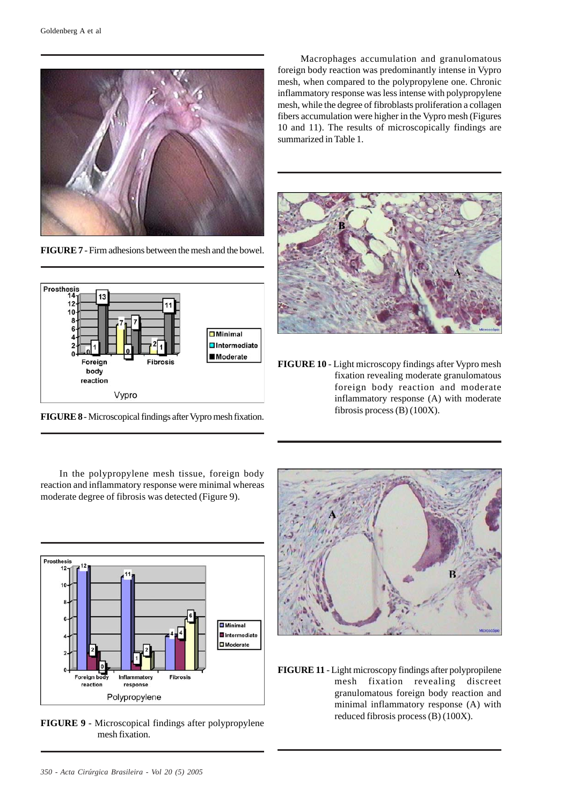

**FIGURE 7** - Firm adhesions between the mesh and the bowel.



**FIGURE 8** - Microscopical findings after Vypro mesh fixation.

 Macrophages accumulation and granulomatous foreign body reaction was predominantly intense in Vypro mesh, when compared to the polypropylene one. Chronic inflammatory response was less intense with polypropylene mesh, while the degree of fibroblasts proliferation a collagen fibers accumulation were higher in the Vypro mesh (Figures 10 and 11). The results of microscopically findings are summarized in Table 1.



**FIGURE 10** - Light microscopy findings after Vypro mesh fixation revealing moderate granulomatous foreign body reaction and moderate inflammatory response (A) with moderate fibrosis process (B) (100X).

In the polypropylene mesh tissue, foreign body reaction and inflammatory response were minimal whereas moderate degree of fibrosis was detected (Figure 9).



**FIGURE 9** - Microscopical findings after polypropylene mesh fixation.



**FIGURE 11** - Light microscopy findings after polypropilene mesh fixation revealing discreet granulomatous foreign body reaction and minimal inflammatory response (A) with reduced fibrosis process (B) (100X).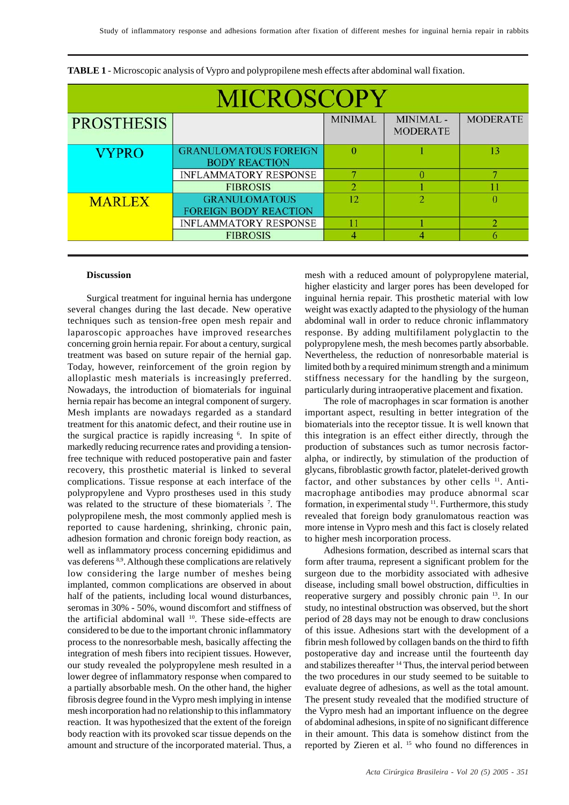| <b>MICROSCOPY</b> |                              |                |                             |                 |
|-------------------|------------------------------|----------------|-----------------------------|-----------------|
| <b>PROSTHESIS</b> |                              | <b>MINIMAL</b> | MINIMAL-<br><b>MODERATE</b> | <b>MODERATE</b> |
| <b>VYPRO</b>      | <b>GRANULOMATOUS FOREIGN</b> | $\Omega$       |                             | 13              |
|                   | <b>BODY REACTION</b>         |                |                             |                 |
|                   | <b>INFLAMMATORY RESPONSE</b> |                | 0                           |                 |
|                   | <b>FIBROSIS</b>              | 2              |                             |                 |
| <b>MARLEX</b>     | <b>GRANULOMATOUS</b>         | 12             | റ                           |                 |
|                   | <b>FOREIGN BODY REACTION</b> |                |                             |                 |
|                   | <b>INFLAMMATORY RESPONSE</b> |                |                             |                 |
|                   | <b>FIBROSIS</b>              | 4              |                             |                 |

| TABLE 1 - Microscopic analysis of Vypro and polypropilene mesh effects after abdominal wall fixation. |
|-------------------------------------------------------------------------------------------------------|
|-------------------------------------------------------------------------------------------------------|

#### **Discussion**

Surgical treatment for inguinal hernia has undergone several changes during the last decade. New operative techniques such as tension-free open mesh repair and laparoscopic approaches have improved researches concerning groin hernia repair. For about a century, surgical treatment was based on suture repair of the hernial gap. Today, however, reinforcement of the groin region by alloplastic mesh materials is increasingly preferred. Nowadays, the introduction of biomaterials for inguinal hernia repair has become an integral component of surgery. Mesh implants are nowadays regarded as a standard treatment for this anatomic defect, and their routine use in the surgical practice is rapidly increasing 6 . In spite of markedly reducing recurrence rates and providing a tensionfree technique with reduced postoperative pain and faster recovery, this prosthetic material is linked to several complications. Tissue response at each interface of the polypropylene and Vypro prostheses used in this study was related to the structure of these biomaterials <sup>7</sup>. The polypropilene mesh, the most commonly applied mesh is reported to cause hardening, shrinking, chronic pain, adhesion formation and chronic foreign body reaction, as well as inflammatory process concerning epididimus and vas deferens 8,9. Although these complications are relatively low considering the large number of meshes being implanted, common complications are observed in about half of the patients, including local wound disturbances, seromas in 30% - 50%, wound discomfort and stiffness of the artificial abdominal wall  $10$ . These side-effects are considered to be due to the important chronic inflammatory process to the nonresorbable mesh, basically affecting the integration of mesh fibers into recipient tissues. However, our study revealed the polypropylene mesh resulted in a lower degree of inflammatory response when compared to a partially absorbable mesh. On the other hand, the higher fibrosis degree found in the Vypro mesh implying in intense mesh incorporation had no relationship to this inflammatory reaction. It was hypothesized that the extent of the foreign body reaction with its provoked scar tissue depends on the amount and structure of the incorporated material. Thus, a

mesh with a reduced amount of polypropylene material, higher elasticity and larger pores has been developed for inguinal hernia repair. This prosthetic material with low weight was exactly adapted to the physiology of the human abdominal wall in order to reduce chronic inflammatory response. By adding multifilament polyglactin to the polypropylene mesh, the mesh becomes partly absorbable. Nevertheless, the reduction of nonresorbable material is limited both by a required minimum strength and a minimum stiffness necessary for the handling by the surgeon, particularly during intraoperative placement and fixation.

The role of macrophages in scar formation is another important aspect, resulting in better integration of the biomaterials into the receptor tissue. It is well known that this integration is an effect either directly, through the production of substances such as tumor necrosis factoralpha, or indirectly, by stimulation of the production of glycans, fibroblastic growth factor, platelet-derived growth factor, and other substances by other cells <sup>11</sup>. Antimacrophage antibodies may produce abnormal scar formation, in experimental study <sup>11</sup>. Furthermore, this study revealed that foreign body granulomatous reaction was more intense in Vypro mesh and this fact is closely related to higher mesh incorporation process.

Adhesions formation, described as internal scars that form after trauma, represent a significant problem for the surgeon due to the morbidity associated with adhesive disease, including small bowel obstruction, difficulties in reoperative surgery and possibly chronic pain 13. In our study, no intestinal obstruction was observed, but the short period of 28 days may not be enough to draw conclusions of this issue. Adhesions start with the development of a fibrin mesh followed by collagen bands on the third to fifth postoperative day and increase until the fourteenth day and stabilizes thereafter 14 Thus, the interval period between the two procedures in our study seemed to be suitable to evaluate degree of adhesions, as well as the total amount. The present study revealed that the modified structure of the Vypro mesh had an important influence on the degree of abdominal adhesions, in spite of no significant difference in their amount. This data is somehow distinct from the reported by Zieren et al. 15 who found no differences in